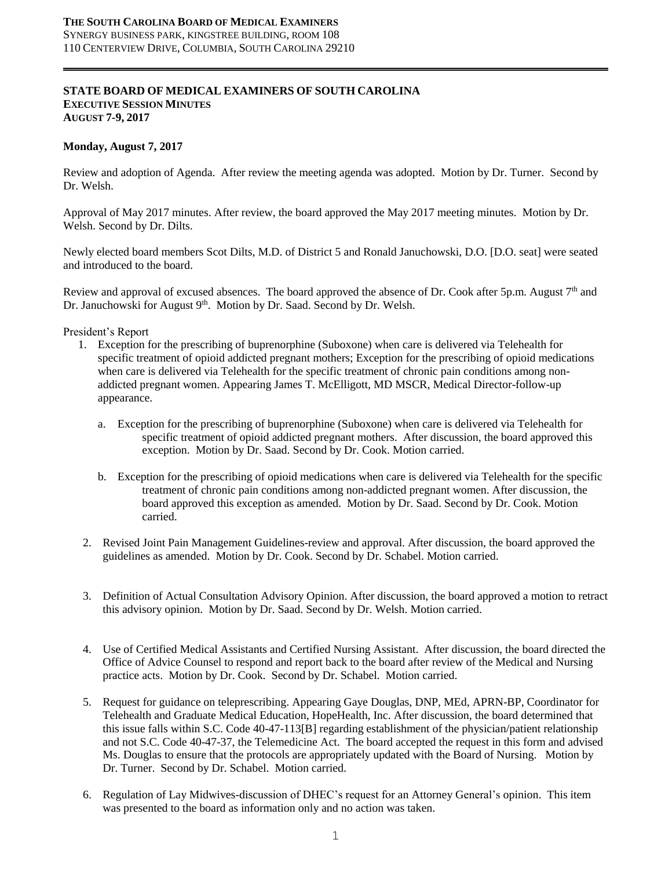### **STATE BOARD OF MEDICAL EXAMINERS OF SOUTH CAROLINA EXECUTIVE SESSION MINUTES AUGUST 7-9, 2017**

### **Monday, August 7, 2017**

Review and adoption of Agenda. After review the meeting agenda was adopted. Motion by Dr. Turner. Second by Dr. Welsh.

Approval of May 2017 minutes. After review, the board approved the May 2017 meeting minutes. Motion by Dr. Welsh. Second by Dr. Dilts.

Newly elected board members Scot Dilts, M.D. of District 5 and Ronald Januchowski, D.O. [D.O. seat] were seated and introduced to the board.

Review and approval of excused absences. The board approved the absence of Dr. Cook after 5p.m. August  $7<sup>th</sup>$  and Dr. Januchowski for August 9<sup>th</sup>. Motion by Dr. Saad. Second by Dr. Welsh.

President's Report

- 1. Exception for the prescribing of buprenorphine (Suboxone) when care is delivered via Telehealth for specific treatment of opioid addicted pregnant mothers; Exception for the prescribing of opioid medications when care is delivered via Telehealth for the specific treatment of chronic pain conditions among nonaddicted pregnant women. Appearing James T. McElligott, MD MSCR, Medical Director-follow-up appearance.
	- a. Exception for the prescribing of buprenorphine (Suboxone) when care is delivered via Telehealth for specific treatment of opioid addicted pregnant mothers. After discussion, the board approved this exception. Motion by Dr. Saad. Second by Dr. Cook. Motion carried.
	- b. Exception for the prescribing of opioid medications when care is delivered via Telehealth for the specific treatment of chronic pain conditions among non-addicted pregnant women. After discussion, the board approved this exception as amended. Motion by Dr. Saad. Second by Dr. Cook. Motion carried.
- 2. Revised Joint Pain Management Guidelines-review and approval. After discussion, the board approved the guidelines as amended. Motion by Dr. Cook. Second by Dr. Schabel. Motion carried.
- 3. Definition of Actual Consultation Advisory Opinion. After discussion, the board approved a motion to retract this advisory opinion. Motion by Dr. Saad. Second by Dr. Welsh. Motion carried.
- 4. Use of Certified Medical Assistants and Certified Nursing Assistant. After discussion, the board directed the Office of Advice Counsel to respond and report back to the board after review of the Medical and Nursing practice acts. Motion by Dr. Cook. Second by Dr. Schabel. Motion carried.
- 5. Request for guidance on teleprescribing. Appearing Gaye Douglas, DNP, MEd, APRN-BP, Coordinator for Telehealth and Graduate Medical Education, HopeHealth, Inc. After discussion, the board determined that this issue falls within S.C. Code 40-47-113[B] regarding establishment of the physician/patient relationship and not S.C. Code 40-47-37, the Telemedicine Act. The board accepted the request in this form and advised Ms. Douglas to ensure that the protocols are appropriately updated with the Board of Nursing. Motion by Dr. Turner. Second by Dr. Schabel. Motion carried.
- 6. Regulation of Lay Midwives-discussion of DHEC's request for an Attorney General's opinion. This item was presented to the board as information only and no action was taken.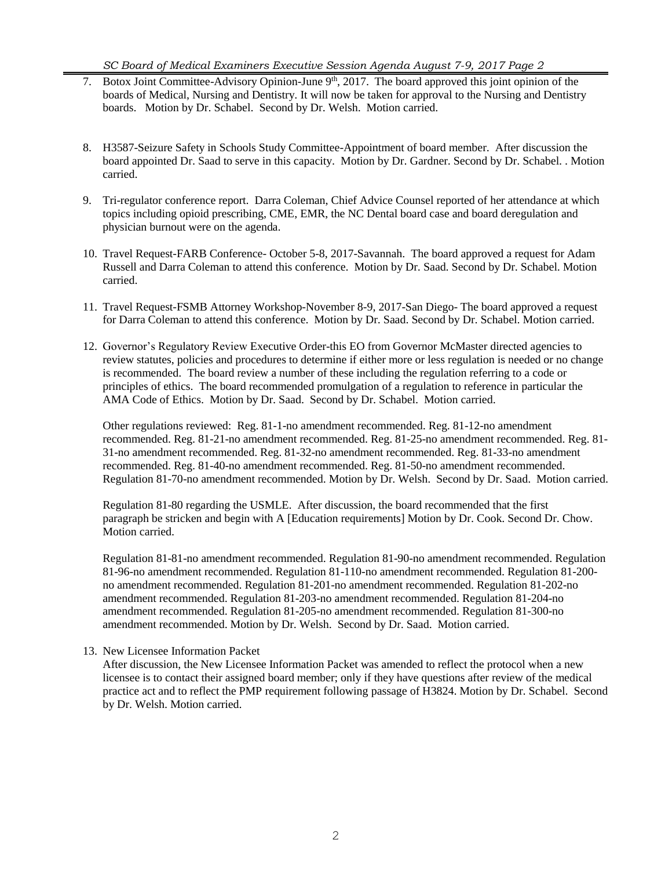*SC Board of Medical Examiners Executive Session Agenda August 7-9, 2017 Page 2*

- 7. Botox Joint Committee-Advisory Opinion-June 9<sup>th</sup>, 2017. The board approved this joint opinion of the boards of Medical, Nursing and Dentistry. It will now be taken for approval to the Nursing and Dentistry boards. Motion by Dr. Schabel. Second by Dr. Welsh. Motion carried.
- 8. H3587-Seizure Safety in Schools Study Committee-Appointment of board member. After discussion the board appointed Dr. Saad to serve in this capacity. Motion by Dr. Gardner. Second by Dr. Schabel. . Motion carried.
- 9. Tri-regulator conference report. Darra Coleman, Chief Advice Counsel reported of her attendance at which topics including opioid prescribing, CME, EMR, the NC Dental board case and board deregulation and physician burnout were on the agenda.
- 10. Travel Request-FARB Conference- October 5-8, 2017-Savannah. The board approved a request for Adam Russell and Darra Coleman to attend this conference. Motion by Dr. Saad. Second by Dr. Schabel. Motion carried.
- 11. Travel Request-FSMB Attorney Workshop-November 8-9, 2017-San Diego- The board approved a request for Darra Coleman to attend this conference. Motion by Dr. Saad. Second by Dr. Schabel. Motion carried.
- 12. Governor's Regulatory Review Executive Order-this EO from Governor McMaster directed agencies to review statutes, policies and procedures to determine if either more or less regulation is needed or no change is recommended. The board review a number of these including the regulation referring to a code or principles of ethics. The board recommended promulgation of a regulation to reference in particular the AMA Code of Ethics. Motion by Dr. Saad. Second by Dr. Schabel. Motion carried.

Other regulations reviewed: Reg. 81-1-no amendment recommended. Reg. 81-12-no amendment recommended. Reg. 81-21-no amendment recommended. Reg. 81-25-no amendment recommended. Reg. 81- 31-no amendment recommended. Reg. 81-32-no amendment recommended. Reg. 81-33-no amendment recommended. Reg. 81-40-no amendment recommended. Reg. 81-50-no amendment recommended. Regulation 81-70-no amendment recommended. Motion by Dr. Welsh. Second by Dr. Saad. Motion carried.

Regulation 81-80 regarding the USMLE. After discussion, the board recommended that the first paragraph be stricken and begin with A [Education requirements] Motion by Dr. Cook. Second Dr. Chow. Motion carried.

Regulation 81-81-no amendment recommended. Regulation 81-90-no amendment recommended. Regulation 81-96-no amendment recommended. Regulation 81-110-no amendment recommended. Regulation 81-200 no amendment recommended. Regulation 81-201-no amendment recommended. Regulation 81-202-no amendment recommended. Regulation 81-203-no amendment recommended. Regulation 81-204-no amendment recommended. Regulation 81-205-no amendment recommended. Regulation 81-300-no amendment recommended. Motion by Dr. Welsh. Second by Dr. Saad. Motion carried.

# 13. New Licensee Information Packet

After discussion, the New Licensee Information Packet was amended to reflect the protocol when a new licensee is to contact their assigned board member; only if they have questions after review of the medical practice act and to reflect the PMP requirement following passage of H3824. Motion by Dr. Schabel. Second by Dr. Welsh. Motion carried.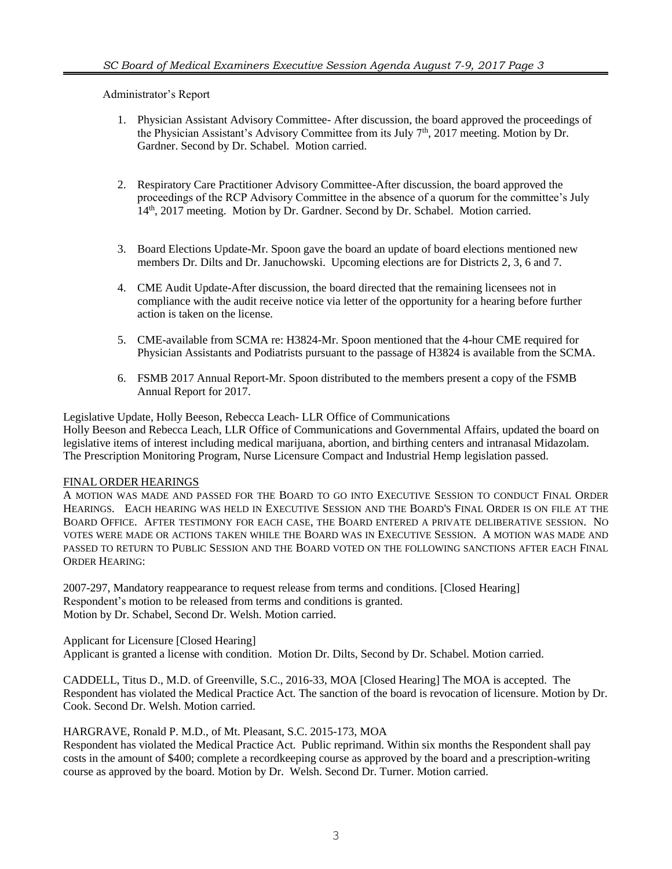Administrator's Report

- 1. Physician Assistant Advisory Committee- After discussion, the board approved the proceedings of the Physician Assistant's Advisory Committee from its July 7<sup>th</sup>, 2017 meeting. Motion by Dr. Gardner. Second by Dr. Schabel. Motion carried.
- 2. Respiratory Care Practitioner Advisory Committee-After discussion, the board approved the proceedings of the RCP Advisory Committee in the absence of a quorum for the committee's July 14<sup>th</sup>, 2017 meeting. Motion by Dr. Gardner. Second by Dr. Schabel. Motion carried.
- 3. Board Elections Update-Mr. Spoon gave the board an update of board elections mentioned new members Dr. Dilts and Dr. Januchowski. Upcoming elections are for Districts 2, 3, 6 and 7.
- 4. CME Audit Update-After discussion, the board directed that the remaining licensees not in compliance with the audit receive notice via letter of the opportunity for a hearing before further action is taken on the license.
- 5. CME-available from SCMA re: H3824-Mr. Spoon mentioned that the 4-hour CME required for Physician Assistants and Podiatrists pursuant to the passage of H3824 is available from the SCMA.
- 6. FSMB 2017 Annual Report-Mr. Spoon distributed to the members present a copy of the FSMB Annual Report for 2017.

Legislative Update, Holly Beeson, Rebecca Leach- LLR Office of Communications Holly Beeson and Rebecca Leach, LLR Office of Communications and Governmental Affairs, updated the board on legislative items of interest including medical marijuana, abortion, and birthing centers and intranasal Midazolam. The Prescription Monitoring Program, Nurse Licensure Compact and Industrial Hemp legislation passed.

### FINAL ORDER HEARINGS

A MOTION WAS MADE AND PASSED FOR THE BOARD TO GO INTO EXECUTIVE SESSION TO CONDUCT FINAL ORDER HEARINGS. EACH HEARING WAS HELD IN EXECUTIVE SESSION AND THE BOARD'S FINAL ORDER IS ON FILE AT THE BOARD OFFICE. AFTER TESTIMONY FOR EACH CASE, THE BOARD ENTERED A PRIVATE DELIBERATIVE SESSION. NO VOTES WERE MADE OR ACTIONS TAKEN WHILE THE BOARD WAS IN EXECUTIVE SESSION. A MOTION WAS MADE AND PASSED TO RETURN TO PUBLIC SESSION AND THE BOARD VOTED ON THE FOLLOWING SANCTIONS AFTER EACH FINAL ORDER HEARING:

2007-297, Mandatory reappearance to request release from terms and conditions. [Closed Hearing] Respondent's motion to be released from terms and conditions is granted. Motion by Dr. Schabel, Second Dr. Welsh. Motion carried.

Applicant for Licensure [Closed Hearing]

Applicant is granted a license with condition. Motion Dr. Dilts, Second by Dr. Schabel. Motion carried.

CADDELL, Titus D., M.D. of Greenville, S.C., 2016-33, MOA [Closed Hearing] The MOA is accepted. The Respondent has violated the Medical Practice Act. The sanction of the board is revocation of licensure. Motion by Dr. Cook. Second Dr. Welsh. Motion carried.

### HARGRAVE, Ronald P. M.D., of Mt. Pleasant, S.C. 2015-173, MOA

Respondent has violated the Medical Practice Act. Public reprimand. Within six months the Respondent shall pay costs in the amount of \$400; complete a recordkeeping course as approved by the board and a prescription-writing course as approved by the board. Motion by Dr. Welsh. Second Dr. Turner. Motion carried.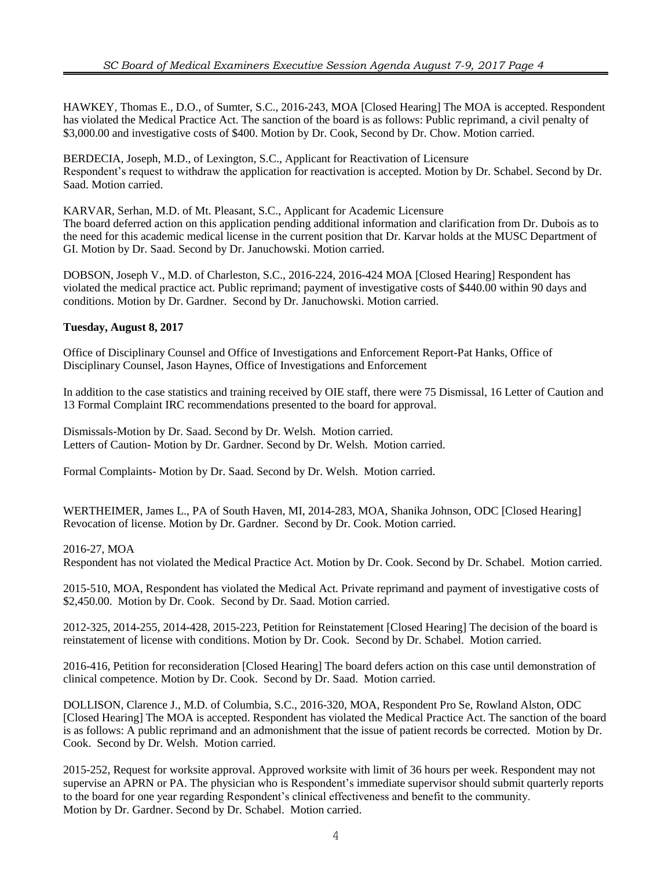HAWKEY, Thomas E., D.O., of Sumter, S.C., 2016-243, MOA [Closed Hearing] The MOA is accepted. Respondent has violated the Medical Practice Act. The sanction of the board is as follows: Public reprimand, a civil penalty of \$3,000.00 and investigative costs of \$400. Motion by Dr. Cook, Second by Dr. Chow. Motion carried.

BERDECIA, Joseph, M.D., of Lexington, S.C., Applicant for Reactivation of Licensure Respondent's request to withdraw the application for reactivation is accepted. Motion by Dr. Schabel. Second by Dr. Saad. Motion carried.

KARVAR, Serhan, M.D. of Mt. Pleasant, S.C., Applicant for Academic Licensure The board deferred action on this application pending additional information and clarification from Dr. Dubois as to the need for this academic medical license in the current position that Dr. Karvar holds at the MUSC Department of GI. Motion by Dr. Saad. Second by Dr. Januchowski. Motion carried.

DOBSON, Joseph V., M.D. of Charleston, S.C., 2016-224, 2016-424 MOA [Closed Hearing] Respondent has violated the medical practice act. Public reprimand; payment of investigative costs of \$440.00 within 90 days and conditions. Motion by Dr. Gardner. Second by Dr. Januchowski. Motion carried.

# **Tuesday, August 8, 2017**

Office of Disciplinary Counsel and Office of Investigations and Enforcement Report-Pat Hanks, Office of Disciplinary Counsel, Jason Haynes, Office of Investigations and Enforcement

In addition to the case statistics and training received by OIE staff, there were 75 Dismissal, 16 Letter of Caution and 13 Formal Complaint IRC recommendations presented to the board for approval.

Dismissals-Motion by Dr. Saad. Second by Dr. Welsh. Motion carried. Letters of Caution- Motion by Dr. Gardner. Second by Dr. Welsh. Motion carried.

Formal Complaints- Motion by Dr. Saad. Second by Dr. Welsh. Motion carried.

WERTHEIMER, James L., PA of South Haven, MI, 2014-283, MOA, Shanika Johnson, ODC [Closed Hearing] Revocation of license. Motion by Dr. Gardner. Second by Dr. Cook. Motion carried.

### 2016-27, MOA

Respondent has not violated the Medical Practice Act. Motion by Dr. Cook. Second by Dr. Schabel. Motion carried.

2015-510, MOA, Respondent has violated the Medical Act. Private reprimand and payment of investigative costs of \$2,450.00. Motion by Dr. Cook. Second by Dr. Saad. Motion carried.

2012-325, 2014-255, 2014-428, 2015-223, Petition for Reinstatement [Closed Hearing] The decision of the board is reinstatement of license with conditions. Motion by Dr. Cook. Second by Dr. Schabel. Motion carried.

2016-416, Petition for reconsideration [Closed Hearing] The board defers action on this case until demonstration of clinical competence. Motion by Dr. Cook. Second by Dr. Saad. Motion carried.

DOLLISON, Clarence J., M.D. of Columbia, S.C., 2016-320, MOA, Respondent Pro Se, Rowland Alston, ODC [Closed Hearing] The MOA is accepted. Respondent has violated the Medical Practice Act. The sanction of the board is as follows: A public reprimand and an admonishment that the issue of patient records be corrected. Motion by Dr. Cook. Second by Dr. Welsh. Motion carried.

2015-252, Request for worksite approval. Approved worksite with limit of 36 hours per week. Respondent may not supervise an APRN or PA. The physician who is Respondent's immediate supervisor should submit quarterly reports to the board for one year regarding Respondent's clinical effectiveness and benefit to the community. Motion by Dr. Gardner. Second by Dr. Schabel. Motion carried.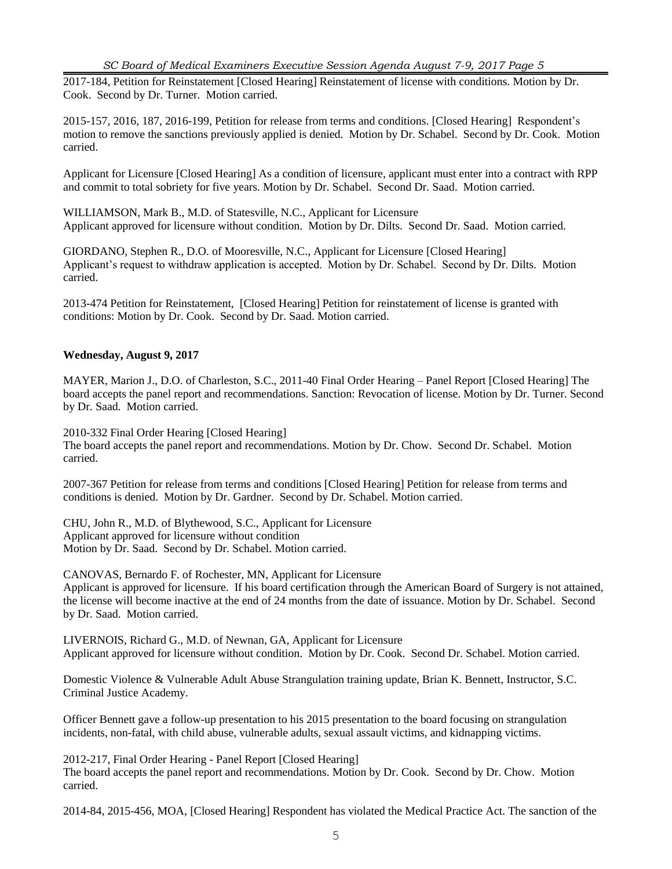2017-184, Petition for Reinstatement [Closed Hearing] Reinstatement of license with conditions. Motion by Dr. Cook. Second by Dr. Turner. Motion carried.

2015-157, 2016, 187, 2016-199, Petition for release from terms and conditions. [Closed Hearing] Respondent's motion to remove the sanctions previously applied is denied. Motion by Dr. Schabel. Second by Dr. Cook. Motion carried.

Applicant for Licensure [Closed Hearing] As a condition of licensure, applicant must enter into a contract with RPP and commit to total sobriety for five years. Motion by Dr. Schabel. Second Dr. Saad. Motion carried.

WILLIAMSON, Mark B., M.D. of Statesville, N.C., Applicant for Licensure Applicant approved for licensure without condition. Motion by Dr. Dilts. Second Dr. Saad. Motion carried.

GIORDANO, Stephen R., D.O. of Mooresville, N.C., Applicant for Licensure [Closed Hearing] Applicant's request to withdraw application is accepted. Motion by Dr. Schabel. Second by Dr. Dilts. Motion carried.

2013-474 Petition for Reinstatement, [Closed Hearing] Petition for reinstatement of license is granted with conditions: Motion by Dr. Cook. Second by Dr. Saad. Motion carried.

# **Wednesday, August 9, 2017**

MAYER, Marion J., D.O. of Charleston, S.C., 2011-40 Final Order Hearing – Panel Report [Closed Hearing] The board accepts the panel report and recommendations. Sanction: Revocation of license. Motion by Dr. Turner. Second by Dr. Saad. Motion carried.

2010-332 Final Order Hearing [Closed Hearing] The board accepts the panel report and recommendations. Motion by Dr. Chow. Second Dr. Schabel. Motion carried.

2007-367 Petition for release from terms and conditions [Closed Hearing] Petition for release from terms and conditions is denied. Motion by Dr. Gardner. Second by Dr. Schabel. Motion carried.

CHU, John R., M.D. of Blythewood, S.C., Applicant for Licensure Applicant approved for licensure without condition Motion by Dr. Saad. Second by Dr. Schabel. Motion carried.

CANOVAS, Bernardo F. of Rochester, MN, Applicant for Licensure Applicant is approved for licensure. If his board certification through the American Board of Surgery is not attained, the license will become inactive at the end of 24 months from the date of issuance. Motion by Dr. Schabel. Second by Dr. Saad. Motion carried.

LIVERNOIS, Richard G., M.D. of Newnan, GA, Applicant for Licensure Applicant approved for licensure without condition. Motion by Dr. Cook. Second Dr. Schabel. Motion carried.

Domestic Violence & Vulnerable Adult Abuse Strangulation training update, Brian K. Bennett, Instructor, S.C. Criminal Justice Academy.

Officer Bennett gave a follow-up presentation to his 2015 presentation to the board focusing on strangulation incidents, non-fatal, with child abuse, vulnerable adults, sexual assault victims, and kidnapping victims.

2012-217, Final Order Hearing - Panel Report [Closed Hearing] The board accepts the panel report and recommendations. Motion by Dr. Cook. Second by Dr. Chow. Motion carried.

2014-84, 2015-456, MOA, [Closed Hearing] Respondent has violated the Medical Practice Act. The sanction of the